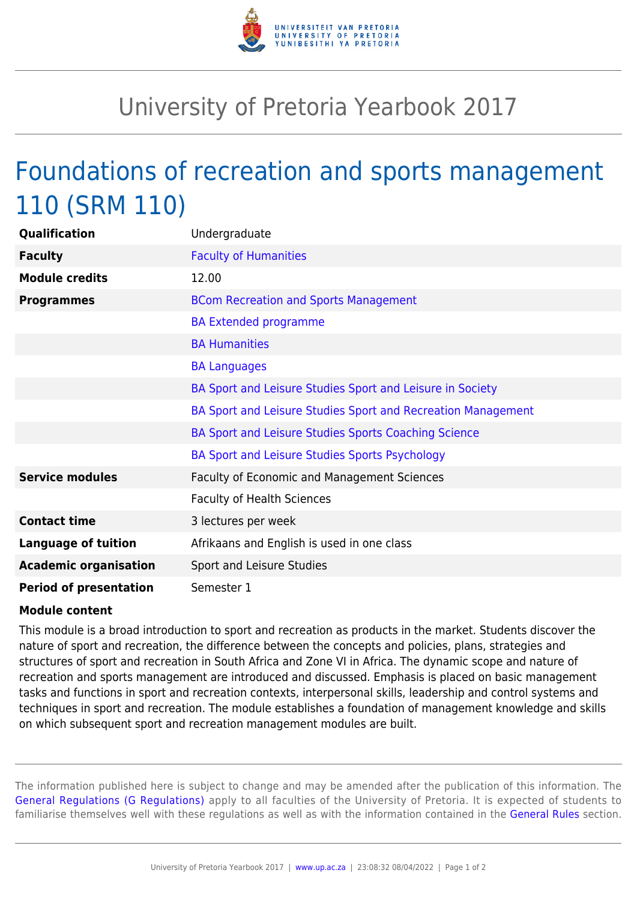

## University of Pretoria Yearbook 2017

## Foundations of recreation and sports management 110 (SRM 110)

| Qualification                 | Undergraduate                                                |
|-------------------------------|--------------------------------------------------------------|
| <b>Faculty</b>                | <b>Faculty of Humanities</b>                                 |
| <b>Module credits</b>         | 12.00                                                        |
| <b>Programmes</b>             | <b>BCom Recreation and Sports Management</b>                 |
|                               | <b>BA Extended programme</b>                                 |
|                               | <b>BA Humanities</b>                                         |
|                               | <b>BA Languages</b>                                          |
|                               | BA Sport and Leisure Studies Sport and Leisure in Society    |
|                               | BA Sport and Leisure Studies Sport and Recreation Management |
|                               | BA Sport and Leisure Studies Sports Coaching Science         |
|                               | BA Sport and Leisure Studies Sports Psychology               |
| <b>Service modules</b>        | Faculty of Economic and Management Sciences                  |
|                               | <b>Faculty of Health Sciences</b>                            |
| <b>Contact time</b>           | 3 lectures per week                                          |
| <b>Language of tuition</b>    | Afrikaans and English is used in one class                   |
| <b>Academic organisation</b>  | Sport and Leisure Studies                                    |
| <b>Period of presentation</b> | Semester 1                                                   |

## **Module content**

This module is a broad introduction to sport and recreation as products in the market. Students discover the nature of sport and recreation, the difference between the concepts and policies, plans, strategies and structures of sport and recreation in South Africa and Zone VI in Africa. The dynamic scope and nature of recreation and sports management are introduced and discussed. Emphasis is placed on basic management tasks and functions in sport and recreation contexts, interpersonal skills, leadership and control systems and techniques in sport and recreation. The module establishes a foundation of management knowledge and skills on which subsequent sport and recreation management modules are built.

The information published here is subject to change and may be amended after the publication of this information. The [General Regulations \(G Regulations\)](https://www.up.ac.za/yearbooks/2017/rules/view/REG) apply to all faculties of the University of Pretoria. It is expected of students to familiarise themselves well with these regulations as well as with the information contained in the [General Rules](https://www.up.ac.za/yearbooks/2017/rules/view/RUL) section.